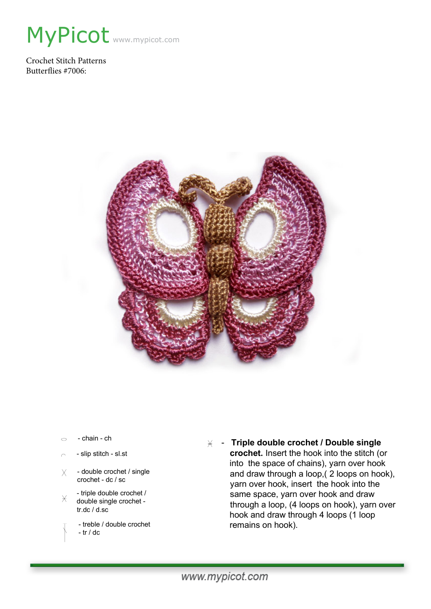

Crochet Stitch Patterns Butterflies #7006:



- chain ch  $\circ$
- slip stitch sl.st
- double crochet / single  $X$ crochet - dc / sc
- triple double crochet /  $\times$ double single crochet tr.dc / d.sc
	- treble / double crochet - tr / dc
- **Triple double crochet / Double single crochet.** Insert the hook into the stitch (or into the space of chains), yarn over hook and draw through a loop,( 2 loops on hook), yarn over hook, insert the hook into the same space, yarn over hook and draw through a loop, (4 loops on hook), yarn over hook and draw through 4 loops (1 loop remains on hook).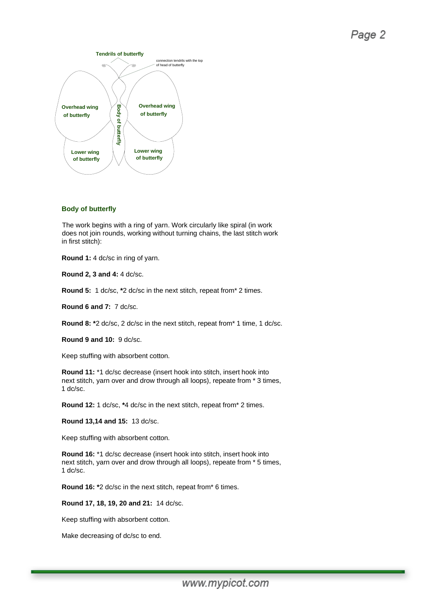## Page 2



## **Body of butterfly**

The work begins with a ring of yarn. Work circularly like spiral (in work does not join rounds, working without turning chains, the last stitch work in first stitch):

**Round 1:** 4 dc/sc in ring of yarn.

**Round 2, 3 and 4:** 4 dc/sc.

**Round 5:** 1 dc/sc, **\***2 dc/sc in the next stitch, repeat from\* 2 times.

**Round 6 and 7:** 7 dc/sc.

**Round 8: \***2 dc/sc, 2 dc/sc in the next stitch, repeat from\* 1 time, 1 dc/sc.

**Round 9 and 10:** 9 dc/sc.

Keep stuffing with absorbent cotton.

**Round 11:** \*1 dc/sc decrease (insert hook into stitch, insert hook into next stitch, yarn over and drow through all loops), repeate from \* 3 times, 1 dc/sc.

**Round 12:** 1 dc/sc, **\***4 dc/sc in the next stitch, repeat from\* 2 times.

**Round 13,14 and 15:** 13 dc/sc.

Keep stuffing with absorbent cotton.

**Round 16:** \*1 dc/sc decrease (insert hook into stitch, insert hook into next stitch, yarn over and drow through all loops), repeate from \* 5 times, 1 dc/sc.

**Round 16: \***2 dc/sc in the next stitch, repeat from\* 6 times.

**Round 17, 18, 19, 20 and 21:** 14 dc/sc.

Keep stuffing with absorbent cotton.

Make decreasing of dc/sc to end.